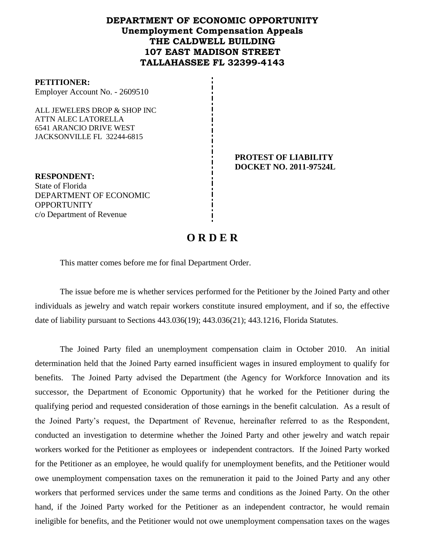# **DEPARTMENT OF ECONOMIC OPPORTUNITY Unemployment Compensation Appeals THE CALDWELL BUILDING 107 EAST MADISON STREET TALLAHASSEE FL 32399-4143**

#### **PETITIONER:**

Employer Account No. - 2609510

ALL JEWELERS DROP & SHOP INC ATTN ALEC LATORELLA 6541 ARANCIO DRIVE WEST JACKSONVILLE FL 32244-6815

> **PROTEST OF LIABILITY DOCKET NO. 2011-97524L**

**RESPONDENT:** State of Florida DEPARTMENT OF ECONOMIC **OPPORTUNITY** c/o Department of Revenue

# **O R D E R**

This matter comes before me for final Department Order.

The issue before me is whether services performed for the Petitioner by the Joined Party and other individuals as jewelry and watch repair workers constitute insured employment, and if so, the effective date of liability pursuant to Sections 443.036(19); 443.036(21); 443.1216, Florida Statutes.

The Joined Party filed an unemployment compensation claim in October 2010.An initial determination held that the Joined Party earned insufficient wages in insured employment to qualify for benefits. The Joined Party advised the Department (the Agency for Workforce Innovation and its successor, the Department of Economic Opportunity) that he worked for the Petitioner during the qualifying period and requested consideration of those earnings in the benefit calculation. As a result of the Joined Party's request, the Department of Revenue, hereinafter referred to as the Respondent, conducted an investigation to determine whether the Joined Party and other jewelry and watch repair workers worked for the Petitioner as employees or independent contractors. If the Joined Party worked for the Petitioner as an employee, he would qualify for unemployment benefits, and the Petitioner would owe unemployment compensation taxes on the remuneration it paid to the Joined Party and any other workers that performed services under the same terms and conditions as the Joined Party. On the other hand, if the Joined Party worked for the Petitioner as an independent contractor, he would remain ineligible for benefits, and the Petitioner would not owe unemployment compensation taxes on the wages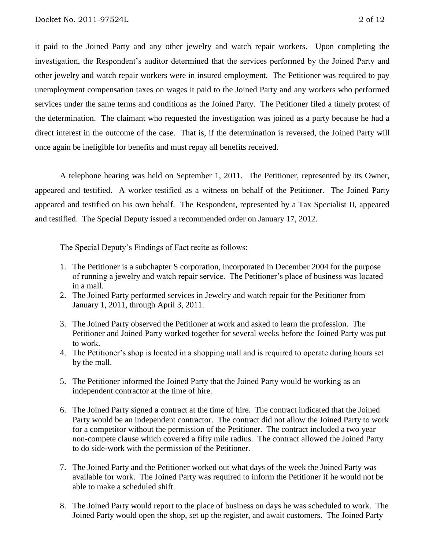it paid to the Joined Party and any other jewelry and watch repair workers. Upon completing the investigation, the Respondent's auditor determined that the services performed by the Joined Party and other jewelry and watch repair workers were in insured employment. The Petitioner was required to pay unemployment compensation taxes on wages it paid to the Joined Party and any workers who performed services under the same terms and conditions as the Joined Party.The Petitioner filed a timely protest of the determination.The claimant who requested the investigation was joined as a party because he had a direct interest in the outcome of the case. That is, if the determination is reversed, the Joined Party will once again be ineligible for benefits and must repay all benefits received.

A telephone hearing was held on September 1, 2011.The Petitioner, represented by its Owner, appeared and testified. A worker testified as a witness on behalf of the Petitioner. The Joined Party appeared and testified on his own behalf. The Respondent, represented by a Tax Specialist II, appeared and testified. The Special Deputy issued a recommended order on January 17, 2012.

The Special Deputy's Findings of Fact recite as follows:

- 1. The Petitioner is a subchapter S corporation, incorporated in December 2004 for the purpose of running a jewelry and watch repair service. The Petitioner's place of business was located in a mall.
- 2. The Joined Party performed services in Jewelry and watch repair for the Petitioner from January 1, 2011, through April 3, 2011.
- 3. The Joined Party observed the Petitioner at work and asked to learn the profession. The Petitioner and Joined Party worked together for several weeks before the Joined Party was put to work.
- 4. The Petitioner's shop is located in a shopping mall and is required to operate during hours set by the mall.
- 5. The Petitioner informed the Joined Party that the Joined Party would be working as an independent contractor at the time of hire.
- 6. The Joined Party signed a contract at the time of hire. The contract indicated that the Joined Party would be an independent contractor. The contract did not allow the Joined Party to work for a competitor without the permission of the Petitioner. The contract included a two year non-compete clause which covered a fifty mile radius. The contract allowed the Joined Party to do side-work with the permission of the Petitioner.
- 7. The Joined Party and the Petitioner worked out what days of the week the Joined Party was available for work. The Joined Party was required to inform the Petitioner if he would not be able to make a scheduled shift.
- 8. The Joined Party would report to the place of business on days he was scheduled to work. The Joined Party would open the shop, set up the register, and await customers. The Joined Party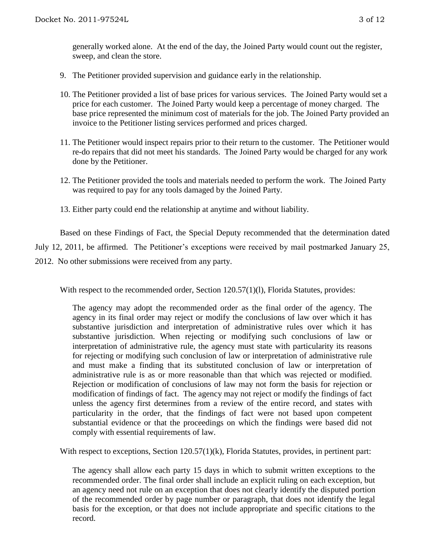generally worked alone. At the end of the day, the Joined Party would count out the register, sweep, and clean the store.

- 9. The Petitioner provided supervision and guidance early in the relationship.
- 10. The Petitioner provided a list of base prices for various services. The Joined Party would set a price for each customer. The Joined Party would keep a percentage of money charged. The base price represented the minimum cost of materials for the job. The Joined Party provided an invoice to the Petitioner listing services performed and prices charged.
- 11. The Petitioner would inspect repairs prior to their return to the customer. The Petitioner would re-do repairs that did not meet his standards. The Joined Party would be charged for any work done by the Petitioner.
- 12. The Petitioner provided the tools and materials needed to perform the work. The Joined Party was required to pay for any tools damaged by the Joined Party.
- 13. Either party could end the relationship at anytime and without liability.

Based on these Findings of Fact, the Special Deputy recommended that the determination dated July 12, 2011, be affirmed. The Petitioner's exceptions were received by mail postmarked January 25, 2012. No other submissions were received from any party.

With respect to the recommended order, Section 120.57(1)(1), Florida Statutes, provides:

The agency may adopt the recommended order as the final order of the agency. The agency in its final order may reject or modify the conclusions of law over which it has substantive jurisdiction and interpretation of administrative rules over which it has substantive jurisdiction. When rejecting or modifying such conclusions of law or interpretation of administrative rule, the agency must state with particularity its reasons for rejecting or modifying such conclusion of law or interpretation of administrative rule and must make a finding that its substituted conclusion of law or interpretation of administrative rule is as or more reasonable than that which was rejected or modified. Rejection or modification of conclusions of law may not form the basis for rejection or modification of findings of fact. The agency may not reject or modify the findings of fact unless the agency first determines from a review of the entire record, and states with particularity in the order, that the findings of fact were not based upon competent substantial evidence or that the proceedings on which the findings were based did not comply with essential requirements of law.

With respect to exceptions, Section 120.57(1)(k), Florida Statutes, provides, in pertinent part:

The agency shall allow each party 15 days in which to submit written exceptions to the recommended order. The final order shall include an explicit ruling on each exception, but an agency need not rule on an exception that does not clearly identify the disputed portion of the recommended order by page number or paragraph, that does not identify the legal basis for the exception, or that does not include appropriate and specific citations to the record.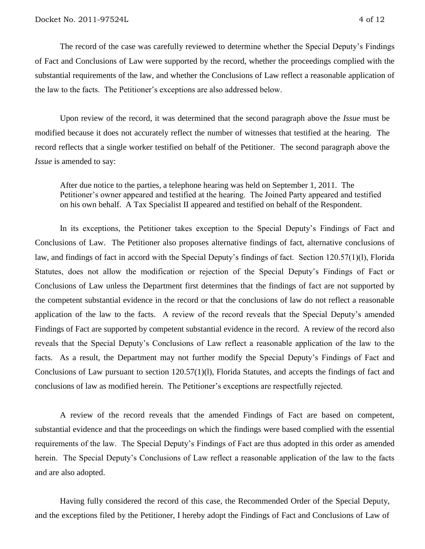The record of the case was carefully reviewed to determine whether the Special Deputy's Findings of Fact and Conclusions of Law were supported by the record, whether the proceedings complied with the substantial requirements of the law, and whether the Conclusions of Law reflect a reasonable application of the law to the facts. The Petitioner's exceptions are also addressed below.

Upon review of the record, it was determined that the second paragraph above the *Issue* must be modified because it does not accurately reflect the number of witnesses that testified at the hearing.The record reflects that a single worker testified on behalf of the Petitioner. The second paragraph above the *Issue* is amended to say:

After due notice to the parties, a telephone hearing was held on September 1, 2011. The Petitioner's owner appeared and testified at the hearing. The Joined Party appeared and testified on his own behalf. A Tax Specialist II appeared and testified on behalf of the Respondent.

In its exceptions, the Petitioner takes exception to the Special Deputy's Findings of Fact and Conclusions of Law. The Petitioner also proposes alternative findings of fact, alternative conclusions of law, and findings of fact in accord with the Special Deputy's findings of fact. Section 120.57(1)(l), Florida Statutes, does not allow the modification or rejection of the Special Deputy's Findings of Fact or Conclusions of Law unless the Department first determines that the findings of fact are not supported by the competent substantial evidence in the record or that the conclusions of law do not reflect a reasonable application of the law to the facts.A review of the record reveals that the Special Deputy's amended Findings of Fact are supported by competent substantial evidence in the record. A review of the record also reveals that the Special Deputy's Conclusions of Law reflect a reasonable application of the law to the facts. As a result, the Department may not further modify the Special Deputy's Findings of Fact and Conclusions of Law pursuant to section 120.57(1)(l), Florida Statutes, and accepts the findings of fact and conclusions of law as modified herein. The Petitioner's exceptions are respectfully rejected.

A review of the record reveals that the amended Findings of Fact are based on competent, substantial evidence and that the proceedings on which the findings were based complied with the essential requirements of the law. The Special Deputy's Findings of Fact are thus adopted in this order as amended herein. The Special Deputy's Conclusions of Law reflect a reasonable application of the law to the facts and are also adopted.

Having fully considered the record of this case, the Recommended Order of the Special Deputy, and the exceptions filed by the Petitioner, I hereby adopt the Findings of Fact and Conclusions of Law of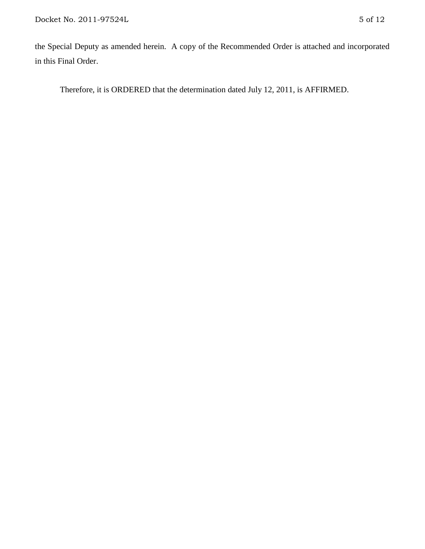the Special Deputy as amended herein. A copy of the Recommended Order is attached and incorporated in this Final Order.

Therefore, it is ORDERED that the determination dated July 12, 2011, is AFFIRMED.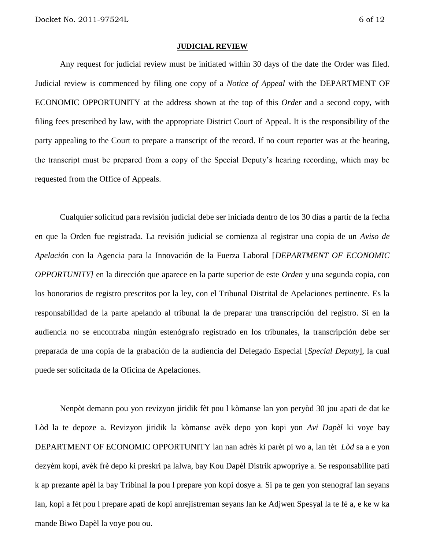#### **JUDICIAL REVIEW**

Any request for judicial review must be initiated within 30 days of the date the Order was filed. Judicial review is commenced by filing one copy of a *Notice of Appeal* with the DEPARTMENT OF ECONOMIC OPPORTUNITY at the address shown at the top of this *Order* and a second copy, with filing fees prescribed by law, with the appropriate District Court of Appeal. It is the responsibility of the party appealing to the Court to prepare a transcript of the record. If no court reporter was at the hearing, the transcript must be prepared from a copy of the Special Deputy's hearing recording, which may be requested from the Office of Appeals.

Cualquier solicitud para revisión judicial debe ser iniciada dentro de los 30 días a partir de la fecha en que la Orden fue registrada. La revisión judicial se comienza al registrar una copia de un *Aviso de Apelación* con la Agencia para la Innovación de la Fuerza Laboral [*DEPARTMENT OF ECONOMIC OPPORTUNITY]* en la dirección que aparece en la parte superior de este *Orden* y una segunda copia, con los honorarios de registro prescritos por la ley, con el Tribunal Distrital de Apelaciones pertinente. Es la responsabilidad de la parte apelando al tribunal la de preparar una transcripción del registro. Si en la audiencia no se encontraba ningún estenógrafo registrado en los tribunales, la transcripción debe ser preparada de una copia de la grabación de la audiencia del Delegado Especial [*Special Deputy*], la cual puede ser solicitada de la Oficina de Apelaciones.

Nenpòt demann pou yon revizyon jiridik fèt pou l kòmanse lan yon peryòd 30 jou apati de dat ke Lòd la te depoze a. Revizyon jiridik la kòmanse avèk depo yon kopi yon *Avi Dapèl* ki voye bay DEPARTMENT OF ECONOMIC OPPORTUNITY lan nan adrès ki parèt pi wo a, lan tèt *Lòd* sa a e yon dezyèm kopi, avèk frè depo ki preskri pa lalwa, bay Kou Dapèl Distrik apwopriye a. Se responsabilite pati k ap prezante apèl la bay Tribinal la pou l prepare yon kopi dosye a. Si pa te gen yon stenograf lan seyans lan, kopi a fèt pou l prepare apati de kopi anrejistreman seyans lan ke Adjwen Spesyal la te fè a, e ke w ka mande Biwo Dapèl la voye pou ou.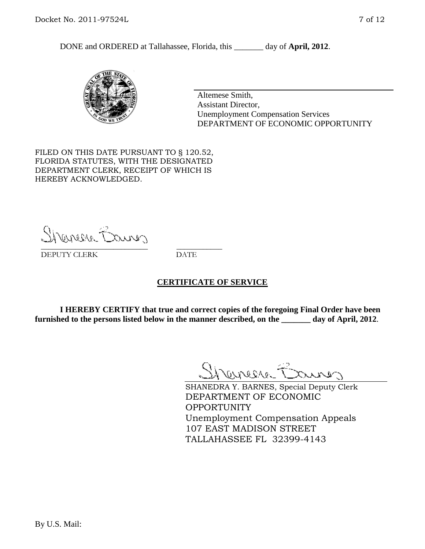

Altemese Smith, Assistant Director, Unemployment Compensation Services DEPARTMENT OF ECONOMIC OPPORTUNITY

FILED ON THIS DATE PURSUANT TO § 120.52, FLORIDA STATUTES, WITH THE DESIGNATED DEPARTMENT CLERK, RECEIPT OF WHICH IS HEREBY ACKNOWLEDGED.

Shemere Erus \_\_\_\_\_\_\_\_\_\_\_\_\_\_\_\_\_\_\_\_\_\_\_\_\_\_\_\_ \_\_\_\_\_\_\_\_\_\_\_\_

DEPUTY CLERK DATE

# **CERTIFICATE OF SERVICE**

**I HEREBY CERTIFY that true and correct copies of the foregoing Final Order have been furnished to the persons listed below in the manner described, on the \_\_\_\_\_\_\_ day of April, 2012**.

Shaner Barnes

SHANEDRA Y. BARNES, Special Deputy Clerk DEPARTMENT OF ECONOMIC OPPORTUNITY Unemployment Compensation Appeals 107 EAST MADISON STREET TALLAHASSEE FL 32399-4143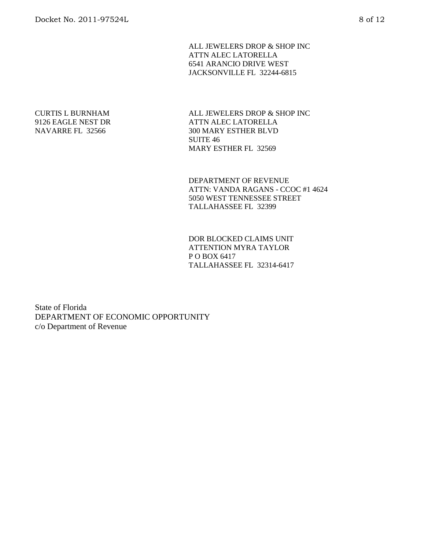ALL JEWELERS DROP & SHOP INC ATTN ALEC LATORELLA 6541 ARANCIO DRIVE WEST JACKSONVILLE FL 32244-6815

#### CURTIS L BURNHAM 9126 EAGLE NEST DR NAVARRE FL 32566

ALL JEWELERS DROP & SHOP INC ATTN ALEC LATORELLA 300 MARY ESTHER BLVD SUITE 46 MARY ESTHER FL 32569

DEPARTMENT OF REVENUE ATTN: VANDA RAGANS - CCOC #1 4624 5050 WEST TENNESSEE STREET TALLAHASSEE FL 32399

DOR BLOCKED CLAIMS UNIT ATTENTION MYRA TAYLOR P O BOX 6417 TALLAHASSEE FL 32314-6417

State of Florida DEPARTMENT OF ECONOMIC OPPORTUNITY c/o Department of Revenue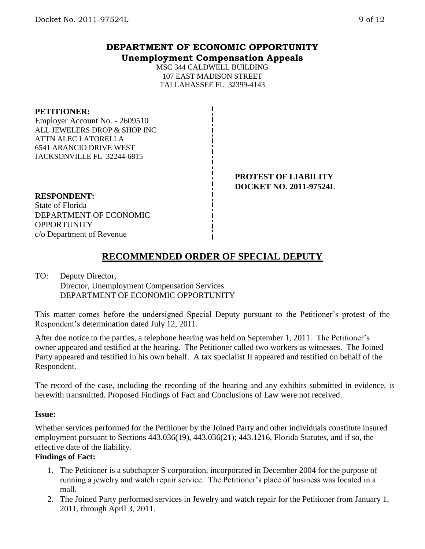# **DEPARTMENT OF ECONOMIC OPPORTUNITY Unemployment Compensation Appeals**

MSC 344 CALDWELL BUILDING 107 EAST MADISON STREET TALLAHASSEE FL 32399-4143

#### **PETITIONER:**

Employer Account No. - 2609510 ALL JEWELERS DROP & SHOP INC ATTN ALEC LATORELLA 6541 ARANCIO DRIVE WEST JACKSONVILLE FL 32244-6815

> **PROTEST OF LIABILITY DOCKET NO. 2011-97524L**

#### **RESPONDENT:**

State of Florida DEPARTMENT OF ECONOMIC **OPPORTUNITY** c/o Department of Revenue

# **RECOMMENDED ORDER OF SPECIAL DEPUTY**

#### TO: Deputy Director, Director, Unemployment Compensation Services DEPARTMENT OF ECONOMIC OPPORTUNITY

This matter comes before the undersigned Special Deputy pursuant to the Petitioner's protest of the Respondent's determination dated July 12, 2011.

After due notice to the parties, a telephone hearing was held on September 1, 2011. The Petitioner's owner appeared and testified at the hearing. The Petitioner called two workers as witnesses. The Joined Party appeared and testified in his own behalf. A tax specialist II appeared and testified on behalf of the Respondent.

The record of the case, including the recording of the hearing and any exhibits submitted in evidence, is herewith transmitted. Proposed Findings of Fact and Conclusions of Law were not received.

#### **Issue:**

Whether services performed for the Petitioner by the Joined Party and other individuals constitute insured employment pursuant to Sections 443.036(19), 443.036(21); 443.1216, Florida Statutes, and if so, the effective date of the liability.

### **Findings of Fact:**

- 1. The Petitioner is a subchapter S corporation, incorporated in December 2004 for the purpose of running a jewelry and watch repair service. The Petitioner's place of business was located in a mall.
- 2. The Joined Party performed services in Jewelry and watch repair for the Petitioner from January 1, 2011, through April 3, 2011.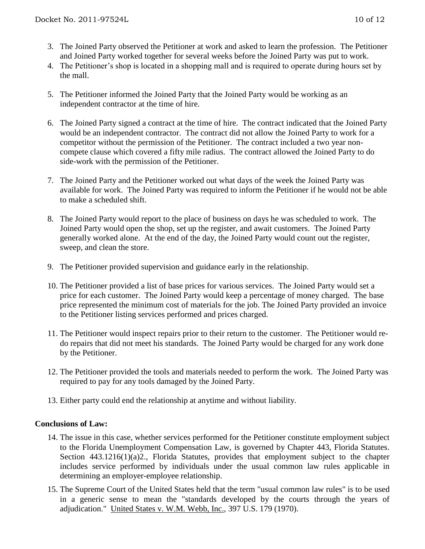- 3. The Joined Party observed the Petitioner at work and asked to learn the profession. The Petitioner and Joined Party worked together for several weeks before the Joined Party was put to work.
- 4. The Petitioner's shop is located in a shopping mall and is required to operate during hours set by the mall.
- 5. The Petitioner informed the Joined Party that the Joined Party would be working as an independent contractor at the time of hire.
- 6. The Joined Party signed a contract at the time of hire. The contract indicated that the Joined Party would be an independent contractor. The contract did not allow the Joined Party to work for a competitor without the permission of the Petitioner. The contract included a two year noncompete clause which covered a fifty mile radius. The contract allowed the Joined Party to do side-work with the permission of the Petitioner.
- 7. The Joined Party and the Petitioner worked out what days of the week the Joined Party was available for work. The Joined Party was required to inform the Petitioner if he would not be able to make a scheduled shift.
- 8. The Joined Party would report to the place of business on days he was scheduled to work. The Joined Party would open the shop, set up the register, and await customers. The Joined Party generally worked alone. At the end of the day, the Joined Party would count out the register, sweep, and clean the store.
- 9. The Petitioner provided supervision and guidance early in the relationship.
- 10. The Petitioner provided a list of base prices for various services. The Joined Party would set a price for each customer. The Joined Party would keep a percentage of money charged. The base price represented the minimum cost of materials for the job. The Joined Party provided an invoice to the Petitioner listing services performed and prices charged.
- 11. The Petitioner would inspect repairs prior to their return to the customer. The Petitioner would redo repairs that did not meet his standards. The Joined Party would be charged for any work done by the Petitioner.
- 12. The Petitioner provided the tools and materials needed to perform the work. The Joined Party was required to pay for any tools damaged by the Joined Party.
- 13. Either party could end the relationship at anytime and without liability.

### **Conclusions of Law:**

- 14. The issue in this case, whether services performed for the Petitioner constitute employment subject to the Florida Unemployment Compensation Law, is governed by Chapter 443, Florida Statutes. Section 443.1216(1)(a)2., Florida Statutes, provides that employment subject to the chapter includes service performed by individuals under the usual common law rules applicable in determining an employer-employee relationship.
- 15. The Supreme Court of the United States held that the term "usual common law rules" is to be used in a generic sense to mean the "standards developed by the courts through the years of adjudication." United States v. W.M. Webb, Inc., 397 U.S. 179 (1970).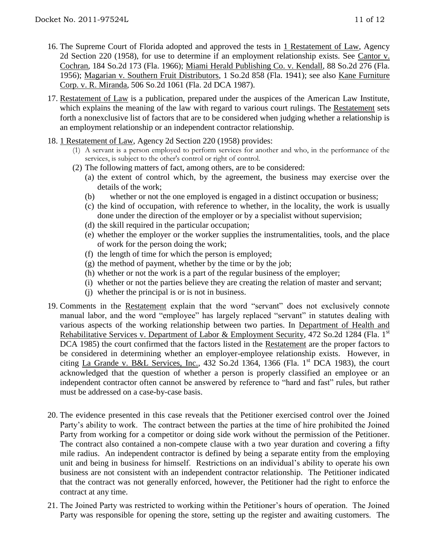- 16. The Supreme Court of Florida adopted and approved the tests in 1 Restatement of Law, Agency 2d Section 220 (1958), for use to determine if an employment relationship exists. See Cantor v. Cochran, 184 So.2d 173 (Fla. 1966); Miami Herald Publishing Co. v. Kendall, 88 So.2d 276 (Fla. 1956); Magarian v. Southern Fruit Distributors, 1 So.2d 858 (Fla. 1941); see also Kane Furniture Corp. v. R. Miranda, 506 So.2d 1061 (Fla. 2d DCA 1987).
- 17. Restatement of Law is a publication, prepared under the auspices of the American Law Institute, which explains the meaning of the law with regard to various court rulings. The Restatement sets forth a nonexclusive list of factors that are to be considered when judging whether a relationship is an employment relationship or an independent contractor relationship.
- 18. 1 Restatement of Law, Agency 2d Section 220 (1958) provides:
	- (1) A servant is a person employed to perform services for another and who, in the performance of the services, is subject to the other's control or right of control.
	- (2) The following matters of fact, among others, are to be considered:
		- (a) the extent of control which, by the agreement, the business may exercise over the details of the work;
		- (b) whether or not the one employed is engaged in a distinct occupation or business;
		- (c) the kind of occupation, with reference to whether, in the locality, the work is usually done under the direction of the employer or by a specialist without supervision;
		- (d) the skill required in the particular occupation;
		- (e) whether the employer or the worker supplies the instrumentalities, tools, and the place of work for the person doing the work;
		- (f) the length of time for which the person is employed;
		- $(g)$  the method of payment, whether by the time or by the job;
		- (h) whether or not the work is a part of the regular business of the employer;
		- (i) whether or not the parties believe they are creating the relation of master and servant;
		- (j) whether the principal is or is not in business.
- 19. Comments in the Restatement explain that the word "servant" does not exclusively connote manual labor, and the word "employee" has largely replaced "servant" in statutes dealing with various aspects of the working relationship between two parties. In Department of Health and Rehabilitative Services v. Department of Labor & Employment Security, 472 So.2d 1284 (Fla. 1<sup>st</sup> DCA 1985) the court confirmed that the factors listed in the Restatement are the proper factors to be considered in determining whether an employer-employee relationship exists. However, in citing La Grande v. B&L Services, Inc., 432 So.2d 1364, 1366 (Fla. 1<sup>st</sup> DCA 1983), the court acknowledged that the question of whether a person is properly classified an employee or an independent contractor often cannot be answered by reference to "hard and fast" rules, but rather must be addressed on a case-by-case basis.
- 20. The evidence presented in this case reveals that the Petitioner exercised control over the Joined Party's ability to work. The contract between the parties at the time of hire prohibited the Joined Party from working for a competitor or doing side work without the permission of the Petitioner. The contract also contained a non-compete clause with a two year duration and covering a fifty mile radius. An independent contractor is defined by being a separate entity from the employing unit and being in business for himself. Restrictions on an individual's ability to operate his own business are not consistent with an independent contractor relationship. The Petitioner indicated that the contract was not generally enforced, however, the Petitioner had the right to enforce the contract at any time.
- 21. The Joined Party was restricted to working within the Petitioner's hours of operation. The Joined Party was responsible for opening the store, setting up the register and awaiting customers. The